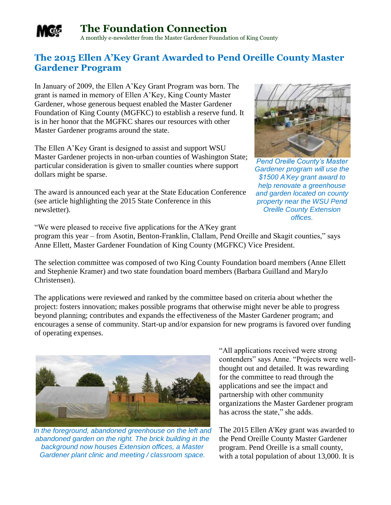

## **The Foundation Connection**

A monthly e-newsletter from the Master Gardener Foundation of King County

## **The 2015 Ellen A'Key Grant Awarded to Pend Oreille County Master Gardener Program**

In January of 2009, the Ellen A'Key Grant Program was born. The grant is named in memory of Ellen A'Key, King County Master Gardener, whose generous bequest enabled the Master Gardener Foundation of King County (MGFKC) to establish a reserve fund. It is in her honor that the MGFKC shares our resources with other Master Gardener programs around the state.

The Ellen A'Key Grant is designed to assist and support WSU Master Gardener projects in non-urban counties of Washington State; particular consideration is given to smaller counties where support dollars might be sparse.

The award is announced each year at the State Education Conference (see article highlighting the 2015 State Conference in this newsletter).



*Pend Oreille County's Master Gardener program will use the \$1500 A'Key grant award to help renovate a greenhouse and garden located on county property near the WSU Pend Oreille County Extension offices.*

"We were pleased to receive five applications for the A'Key grant program this year – from Asotin, Benton-Franklin, Clallam, Pend Oreille and Skagit counties," says Anne Ellett, Master Gardener Foundation of King County (MGFKC) Vice President.

The selection committee was composed of two King County Foundation board members (Anne Ellett and Stephenie Kramer) and two state foundation board members (Barbara Guilland and MaryJo Christensen).

The applications were reviewed and ranked by the committee based on criteria about whether the project: fosters innovation; makes possible programs that otherwise might never be able to progress beyond planning; contributes and expands the effectiveness of the Master Gardener program; and encourages a sense of community. Start-up and/or expansion for new programs is favored over funding of operating expenses.



*In the foreground, abandoned greenhouse on the left and abandoned garden on the right. The brick building in the background now houses Extension offices, a Master Gardener plant clinic and meeting / classroom space.* 

"All applications received were strong contenders" says Anne. "Projects were wellthought out and detailed. It was rewarding for the committee to read through the applications and see the impact and partnership with other community organizations the Master Gardener program has across the state," she adds.

The 2015 Ellen A'Key grant was awarded to the Pend Oreille County Master Gardener program. Pend Oreille is a small county, with a total population of about 13,000. It is